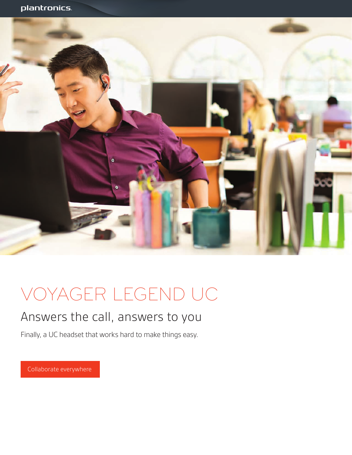

# VOYAGER LEGEND UC

## Answers the call, answers to you

Finally, a UC headset that works hard to make things easy.

Collaborate everywhere